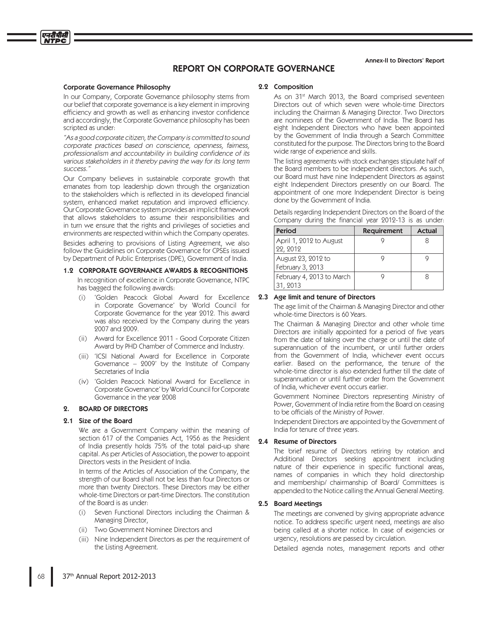# **REPORT ON CORPORATE GOVERNANCE**

#### **Corporate Governance Philosophy**

एनदीपीसी

In our Company, Corporate Governance philosophy stems from our belief that corporate governance is a key element in improving efficiency and growth as well as enhancing investor confidence and accordingly, the Corporate Governance philosophy has been scripted as under:

"As a good corporate citizen, the Company is committed to sound corporate practices based on conscience, openness, fairness, professionalism and accountability in building confidence of its various stakeholders in it thereby paving the way for its long term SUCCESS<sup>"</sup>

Our Company believes in sustainable corporate growth that emanates from top leadership down through the organization to the stakeholders which is reflected in its developed financial system, enhanced market reputation and improved efficiency. Our Corporate Governance system provides an implicit framework that allows stakeholders to assume their responsibilities and in turn we ensure that the rights and privileges of societies and environments are respected within which the Company operates. Besides adhering to provisions of Listing Agreement, we also follow the Guidelines on Corporate Governance for CPSEs issued by Department of Public Enterprises (DPE), Government of India.

#### 1.2 CORPORATE GOVERNANCE AWARDS & RECOGNITIONS

In recognition of excellence in Corporate Governance, NTPC has bagged the following awards:

- 'Golden Peacock Global Award for Excellence  $(i)$ in Corporate Governance' by World Council for Corporate Governance for the year 2012. This award was also received by the Company during the years 2007 and 2009.
- (ii) Award for Excellence 2011 Good Corporate Citizen Award by PHD Chamber of Commerce and Industry.
- (iii) 'ICSI National Award for Excellence in Corporate Governance  $-$  2009' by the Institute of Company Secretaries of India
- (iv) 'Golden Peacock National Award for Excellence in Corporate Governance' by World Council for Corporate Governance in the year 2008

#### **BOARD OF DIRECTORS**  $9<sub>1</sub>$

#### 2.1 Size of the Board

We are a Government Company within the meaning of section 617 of the Companies Act, 1956 as the President of India presently holds 75% of the total paid-up share capital. As per Articles of Association, the power to appoint Directors vests in the President of India.

In terms of the Articles of Association of the Company, the strength of our Board shall not be less than four Directors or more than twenty Directors. These Directors may be either whole-time Directors or part-time Directors. The constitution of the Board is as under:

- Seven Functional Directors including the Chairman &  $(i)$ Managing Director,
- (ii) Two Government Nominee Directors and
- (iii) Nine Independent Directors as per the requirement of the Listing Agreement.

## 2.2 Composition

As on 31<sup>st</sup> March 2013, the Board comprised seventeen Directors out of which seven were whole-time Directors including the Chairman & Managing Director. Two Directors are nominees of the Government of India. The Board has eight Independent Directors who have been appointed by the Government of India through a Search Committee constituted for the purpose. The Directors bring to the Board wide range of experience and skills.

The listing agreements with stock exchanges stipulate half of the Board members to be independent directors. As such, our Board must have nine Independent Directors as against eight Independent Directors presently on our Board. The appointment of one more Independent Director is being done by the Government of India.

Details regarding Independent Directors on the Board of the Company during the financial year 2012-13 is as under:

| Period                                 | <b>Requirement</b> | <b>Actual</b> |
|----------------------------------------|--------------------|---------------|
| April 1, 2012 to August<br>22, 2012    |                    |               |
| August 23, 2012 to<br>February 3, 2013 |                    |               |
| February 4, 2013 to March<br>31 9013   |                    |               |

#### 2.3 Age limit and tenure of Directors

The age limit of the Chairman & Managing Director and other whole-time Directors is 60 Years.

The Chairman & Managing Director and other whole time Directors are initially appointed for a period of five years from the date of taking over the charge or until the date of superannuation of the incumbent, or until further orders from the Government of India, whichever event occurs earlier. Based on the performance, the tenure of the whole-time director is also extended further till the date of superannuation or until further order from the Government of India, whichever event occurs earlier.

Government Nominee Directors representing Ministry of Power, Government of India retire from the Board on ceasing to be officials of the Ministry of Power.

Independent Directors are appointed by the Government of India for tenure of three years.

#### $2.4$ **Resume of Directors**

The brief resume of Directors retiring by rotation and Additional Directors seeking appointment including nature of their experience in specific functional areas, names of companies in which they hold directorship and membership/ chairmanship of Board/ Committees is appended to the Notice calling the Annual General Meeting.

#### 2.5 Board Meetings

The meetings are convened by giving appropriate advance notice. To address specific urgent need, meetings are also being called at a shorter notice. In case of exigencies or urgency, resolutions are passed by circulation.

Detailed agenda notes, management reports and other

Annex-II to Directors' Report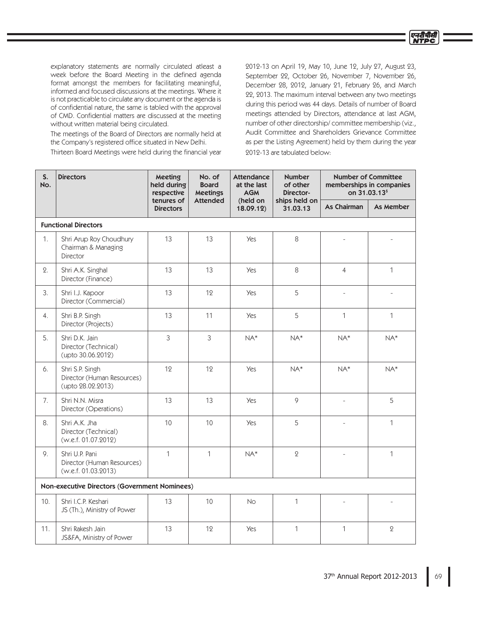explanatory statements are normally circulated atleast a week before the Board Meeting in the defined agenda format amongst the members for facilitating meaningful, informed and focused discussions at the meetings. Where it is not practicable to circulate any document or the agenda is of confidential nature, the same is tabled with the approval of CMD. Confidential matters are discussed at the meeting without written material being circulated.

The meetings of the Board of Directors are normally held at the Company's registered office situated in New Delhi.

Thirteen Board Meetings were held during the financial year

2012-13 on April 19, May 10, June 12, July 27, August 23, September 22, October 26, November 7, November 26, December 28, 2012, January 21, February 26, and March 22, 2013. The maximum interval between any two meetings during this period was 44 days. Details of number of Board meetings attended by Directors, attendance at last AGM, number of other directorship/committee membership (viz., Audit Committee and Shareholders Grievance Committee as per the Listing Agreement) held by them during the year 2012-13 are tabulated below:

एनदीपीसी **NTPC** 

| S.<br>No.   | <b>Directors</b>                                                    | Meeting<br>held during<br>respective | No. of<br><b>Board</b><br><b>Meetings</b> | <b>Attendance</b><br>at the last<br><b>AGM</b> | <b>Number</b><br>of other<br>Director- |                    | <b>Number of Committee</b><br>memberships in companies<br>on 31.03.13 <sup>\$</sup> |
|-------------|---------------------------------------------------------------------|--------------------------------------|-------------------------------------------|------------------------------------------------|----------------------------------------|--------------------|-------------------------------------------------------------------------------------|
|             |                                                                     | tenures of<br><b>Directors</b>       | <b>Attended</b>                           | (held on<br>18.09.12)                          | ships held on<br>31.03.13              | <b>As Chairman</b> | As Member                                                                           |
|             | <b>Functional Directors</b>                                         |                                      |                                           |                                                |                                        |                    |                                                                                     |
| $1_{\cdot}$ | Shri Arup Roy Choudhury<br>Chairman & Managing<br>Director          | 13                                   | 13                                        | <b>Yes</b>                                     | 8                                      |                    |                                                                                     |
| 2.          | Shri A.K. Singhal<br>Director (Finance)                             | 13                                   | 13                                        | <b>Yes</b>                                     | 8                                      | $\overline{4}$     | $\mathbf{1}$                                                                        |
| 3.          | Shri I.J. Kapoor<br>Director (Commercial)                           | 13                                   | 12                                        | <b>Yes</b>                                     | 5                                      | $\frac{1}{2}$      | ÷.                                                                                  |
| 4.          | Shri B.P. Singh<br>Director (Projects)                              | 13                                   | 11                                        | <b>Yes</b>                                     | 5                                      | $\mathbf{1}$       | $\mathbf{1}$                                                                        |
| 5.          | Shri D.K. Jain<br>Director (Technical)<br>(upto 30.06.2012)         | 3                                    | 3                                         | $NA*$                                          | $NA*$                                  | $NA*$              | $NA*$                                                                               |
| 6.          | Shri S.P. Singh<br>Director (Human Resources)<br>(upto 28.02.2013)  | 12                                   | 12                                        | <b>Yes</b>                                     | $NA*$                                  | $NA*$              | $NA*$                                                                               |
| 7.          | Shri N.N. Misra<br>Director (Operations)                            | 13                                   | 13                                        | <b>Yes</b>                                     | 9                                      | $\frac{1}{2}$      | 5                                                                                   |
| 8.          | Shri A.K. Jha<br>Director (Technical)<br>(w.e.f. 01.07.2012)        | 10                                   | 10 <sup>1</sup>                           | <b>Yes</b>                                     | 5                                      | L,                 | $\mathbf{1}$                                                                        |
| 9.          | Shri U.P. Pani<br>Director (Human Resources)<br>(w.e.f. 01.03.2013) | $\mathbf{1}$                         | $\mathbf{1}$                              | $NA*$                                          | $\overline{2}$                         |                    | $\mathbf{1}$                                                                        |
|             | Non-executive Directors (Government Nominees)                       |                                      |                                           |                                                |                                        |                    |                                                                                     |
| 10.         | Shri I.C.P. Keshari<br>JS (Th.), Ministry of Power                  | 13                                   | 10                                        | <b>No</b>                                      | $\mathbf{1}$                           |                    |                                                                                     |
| 11.         | Shri Rakesh Jain<br>JS&FA, Ministry of Power                        | 13                                   | 12                                        | <b>Yes</b>                                     | $\mathbf{1}$                           | $\mathbf{1}$       | $\overline{2}$                                                                      |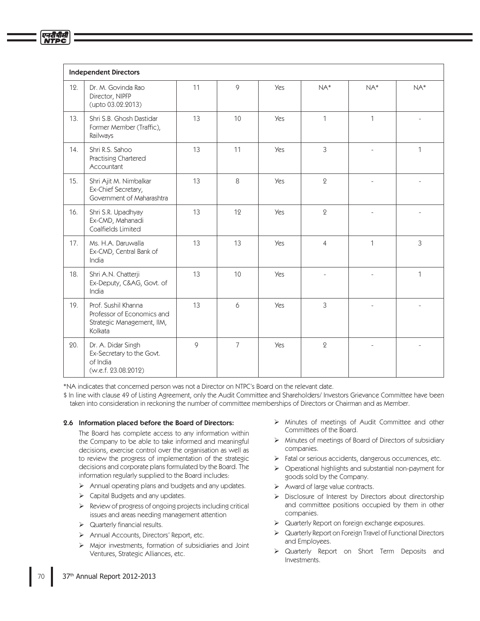|     | <b>Independent Directors</b>                                                               |    |                |            |                |              |                |
|-----|--------------------------------------------------------------------------------------------|----|----------------|------------|----------------|--------------|----------------|
| 12. | Dr. M. Govinda Rao<br>Director, NIPFP<br>(upto 03.02.2013)                                 | 11 | 9              | <b>Yes</b> | $NA*$          | $NA*$        | $NA*$          |
| 13. | Shri S.B. Ghosh Dastidar<br>Former Member (Traffic),<br>Railways                           | 13 | 10             | <b>Yes</b> | $\mathbf{1}$   | $\mathbf{1}$ |                |
| 14. | Shri R.S. Sahoo<br>Practising Chartered<br>Accountant                                      | 13 | 11             | <b>Yes</b> | 3              |              | 1              |
| 15. | Shri Ajit M. Nimbalkar<br>Ex-Chief Secretary,<br>Government of Maharashtra                 | 13 | 8              | <b>Yes</b> | $\overline{2}$ |              |                |
| 16. | Shri S.R. Upadhyay<br>Ex-CMD, Mahanadi<br>Coalfields Limited                               | 13 | 12             | <b>Yes</b> | $\overline{2}$ |              |                |
| 17. | Ms. H.A. Daruwalla<br>Ex-CMD, Central Bank of<br>India                                     | 13 | 13             | <b>Yes</b> | $\overline{4}$ | $\mathbf{1}$ | $\mathfrak{Z}$ |
| 18. | Shri A.N. Chatterji<br>Ex-Deputy, C&AG, Govt. of<br>India                                  | 13 | 10             | <b>Yes</b> |                | L.           | 1              |
| 19. | Prof. Sushil Khanna<br>Professor of Economics and<br>Strategic Management, IIM,<br>Kolkata | 13 | 6              | <b>Yes</b> | 3              |              |                |
| 20. | Dr. A. Didar Singh<br>Ex-Secretary to the Govt.<br>of India<br>(w.e.f. 23.08.2012)         | 9  | $\overline{7}$ | <b>Yes</b> | $\mathbf 2$    |              |                |

\*NA indicates that concerned person was not a Director on NTPC's Board on the relevant date.

\$ In line with clause 49 of Listing Agreement, only the Audit Committee and Shareholders/ Investors Grievance Committee have been taken into consideration in reckoning the number of committee memberships of Directors or Chairman and as Member.

#### 2.6 Information placed before the Board of Directors:

The Board has complete access to any information within the Company to be able to take informed and meaningful decisions, exercise control over the organisation as well as to review the progress of implementation of the strategic decisions and corporate plans formulated by the Board. The information regularly supplied to the Board includes:

- $\triangleright$  Annual operating plans and budgets and any updates.
- Capital Budgets and any updates.
- Review of progress of ongoing projects including critical ⋗ issues and areas needing management attention
- $\triangleright$  Quarterly financial results.
- $\blacktriangleright$ Annual Accounts, Directors' Report, etc.
- ➤ Major investments, formation of subsidiaries and Joint Ventures, Strategic Alliances, etc.
- Minutes of meetings of Audit Committee and other  $\blacktriangleright$ Committees of the Board.
- > Minutes of meetings of Board of Directors of subsidiary companies.
- $\triangleright$  Fatal or serious accidents, dangerous occurrences, etc.
- > Operational highlights and substantial non-payment for goods sold by the Company.
- $\triangleright$  Award of large value contracts.
- Disclosure of Interest by Directors about directorship  $\blacktriangleright$ and committee positions occupied by them in other companies.
- $\triangleright$  Quarterly Report on foreign exchange exposures.
- > Quarterly Report on Foreign Travel of Functional Directors and Employees.
- Quarterly Report on Short Term Deposits and Investments.

एनटीपीक्ष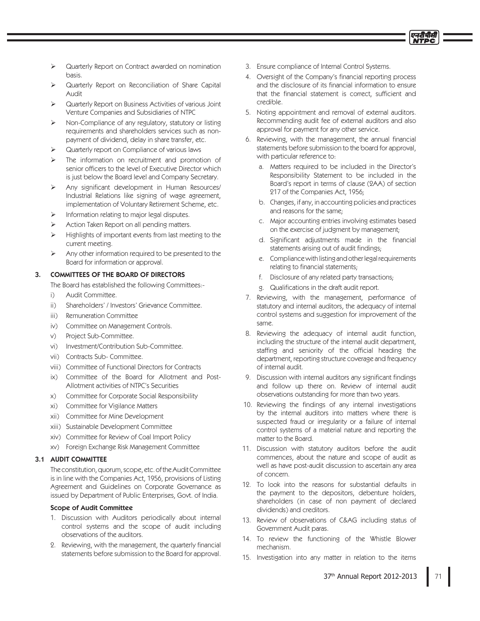

- Quarterly Report on Contract awarded on nomination basis.
- Quarterly Report on Reconciliation of Share Capital Audit
- Quarterly Report on Business Activities of various Joint Venture Companies and Subsidiaries of NTPC
- Non-Compliance of any regulatory, statutory or listing requirements and shareholders services such as nonpayment of dividend, delay in share transfer, etc.
- Quarterly report on Compliance of various laws
- The information on recruitment and promotion of senior officers to the level of Executive Director which is just below the Board level and Company Secretary.
- Any significant development in Human Resources/ Industrial Relations like signing of wage agreement, implementation of Voluntary Retirement Scheme, etc.
- Information relating to major legal disputes.
- Action Taken Report on all pending matters.
- Highlights of important events from last meeting to the current meeting.
- Any other information required to be presented to the Board for information or approval.

#### **COMMITTEES OF THE BOARD OF DIRECTORS**  $\overline{3}$ .

The Board has established the following Committees:-

- Audit Committee.  $i$
- ii). Shareholders' / Investors' Grievance Committee.
- Remuneration Committee  $iii)$
- iv) Committee on Management Controls.
- Project Sub-Committee.  $V)$
- vi) Investment/Contribution Sub-Committee.
- vii) Contracts Sub- Committee.
- viii) Committee of Functional Directors for Contracts
- ix) Committee of the Board for Allotment and Post-Allotment activities of NTPC's Securities
- Committee for Corporate Social Responsibility  $x$ )
- xi) Committee for Vigilance Matters
- xii) Committee for Mine Development
- xiii) Sustainable Development Committee
- xiv) Committee for Review of Coal Import Policy
- xv) Foreign Exchange Risk Management Committee

## 3.1 AUDIT COMMITTEE

The constitution, quorum, scope, etc. of the Audit Committee is in line with the Companies Act, 1956, provisions of Listing Agreement and Guidelines on Corporate Governance as issued by Department of Public Enterprises, Govt. of India.

#### **Scope of Audit Committee**

- 1. Discussion with Auditors periodically about internal control systems and the scope of audit including observations of the auditors.
- 2. Reviewing, with the management, the quarterly financial statements before submission to the Board for approval.
- 3. Ensure compliance of Internal Control Systems.
- 4. Oversight of the Company's financial reporting process and the disclosure of its financial information to ensure that the financial statement is correct, sufficient and credible
- 5. Noting appointment and removal of external auditors. Recommending audit fee of external auditors and also approval for payment for any other service.
- 6. Reviewing, with the management, the annual financial statements before submission to the board for approval, with particular reference to:
	- a. Matters required to be included in the Director's Responsibility Statement to be included in the Board's report in terms of clause (2AA) of section 217 of the Companies Act, 1956;
	- b. Changes, if any, in accounting policies and practices and reasons for the same;
	- c. Major accounting entries involving estimates based on the exercise of judgment by management;
	- d. Significant adjustments made in the financial statements arising out of audit findings;
	- e. Compliance with listing and other legal requirements relating to financial statements;
	- f. Disclosure of any related party transactions;
	- g. Qualifications in the draft audit report.
- 7. Reviewing, with the management, performance of statutory and internal auditors, the adequacy of internal control systems and suggestion for improvement of the same.
- 8. Reviewing the adequacy of internal audit function, including the structure of the internal audit department, staffing and seniority of the official heading the department, reporting structure coverage and frequency of internal audit.
- 9. Discussion with internal auditors any significant findings and follow up there on. Review of internal audit observations outstanding for more than two years.
- 10. Reviewing the findings of any internal investigations by the internal auditors into matters where there is suspected fraud or irregularity or a failure of internal control systems of a material nature and reporting the matter to the Board.
- 11. Discussion with statutory auditors before the audit commences, about the nature and scope of audit as well as have post-audit discussion to ascertain any area of concern
- 12. To look into the reasons for substantial defaults in the payment to the depositors, debenture holders, shareholders (in case of non payment of declared dividends) and creditors.
- 13. Review of observations of C&AG including status of Government Audit paras.
- 14. To review the functioning of the Whistle Blower mechanism.
- 15. Investigation into any matter in relation to the items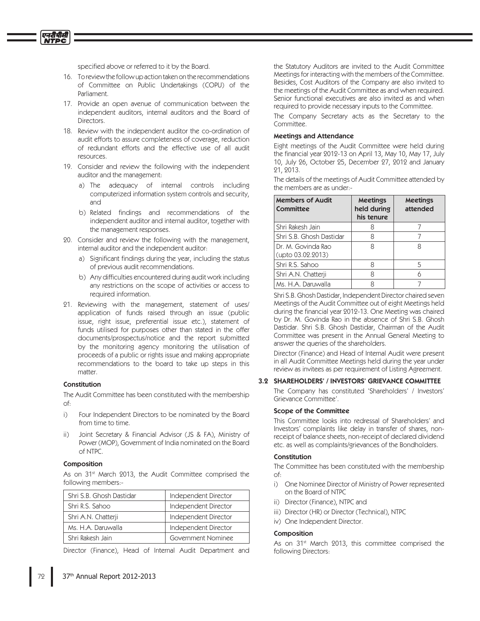specified above or referred to it by the Board.

- 16. To review the follow up action taken on the recommendations of Committee on Public Undertakings (COPU) of the Parliament.
- 17. Provide an open avenue of communication between the independent auditors, internal auditors and the Board of Directors.
- 18. Review with the independent auditor the co-ordination of audit efforts to assure completeness of coverage, reduction of redundant efforts and the effective use of all audit resources.
- 19. Consider and review the following with the independent auditor and the management:
	- a) The adequacy of internal controls including computerized information system controls and security, and
	- b) Related findings and recommendations of the independent auditor and internal auditor, together with the management responses.
- 20. Consider and review the following with the management, internal auditor and the independent auditor:
	- a) Significant findings during the year, including the status of previous audit recommendations.
	- b) Any difficulties encountered during audit work including any restrictions on the scope of activities or access to required information.
- 21. Reviewing with the management, statement of uses/ application of funds raised through an issue (public issue, right issue, preferential issue etc.), statement of funds utilised for purposes other than stated in the offer documents/prospectus/notice and the report submitted by the monitoring agency monitoring the utilisation of proceeds of a public or rights issue and making appropriate recommendations to the board to take up steps in this matter.

#### Constitution

The Audit Committee has been constituted with the membership  $\circ$ f:

- $\overline{1}$ Four Independent Directors to be nominated by the Board from time to time.
- Joint Secretary & Financial Advisor (JS & FA), Ministry of Power (MOP), Government of India nominated on the Board of NTPC.

#### Composition

As on 31<sup>st</sup> March 2013, the Audit Committee comprised the following members:-

| Shri S.B. Ghosh Dastidar | Independent Director |
|--------------------------|----------------------|
| Shri R.S. Sahoo          | Independent Director |
| Shri A.N. Chatterji      | Independent Director |
| Ms. H.A. Daruwalla       | Independent Director |
| Shri Rakesh Jain         | Government Nominee   |

Director (Finance), Head of Internal Audit Department and

the Statutory Auditors are invited to the Audit Committee Meetings for interacting with the members of the Committee. Besides, Cost Auditors of the Company are also invited to the meetings of the Audit Committee as and when required. Senior functional executives are also invited as and when required to provide necessary inputs to the Committee.

The Company Secretary acts as the Secretary to the Committee

#### **Meetings and Attendance**

Eight meetings of the Audit Committee were held during the financial year 2012-13 on April 13, May 10, May 17, July 10, July 26, October 25, December 27, 2012 and January 21, 2013.

The details of the meetings of Audit Committee attended by the members are as under-

| <b>Members of Audit</b><br>Committee    | <b>Meetings</b><br>held during<br>his tenure | <b>Meetings</b><br>attended |
|-----------------------------------------|----------------------------------------------|-----------------------------|
| Shri Rakesh Jain                        |                                              |                             |
| Shri S.B. Ghosh Dastidar                |                                              |                             |
| Dr. M. Govinda Rao<br>(upto 03.02.2013) |                                              |                             |
| Shri R.S. Sahoo                         |                                              | 5                           |
| Shri A.N. Chatterji                     |                                              |                             |
| Ms. H.A. Daruwalla                      |                                              |                             |

Shri S.B. Ghosh Dastidar, Independent Director chaired seven Meetings of the Audit Committee out of eight Meetings held during the financial year 2012-13. One Meeting was chaired by Dr. M. Govinda Rao in the absence of Shri S.B. Ghosh Dastidar. Shri S.B. Ghosh Dastidar, Chairman of the Audit Committee was present in the Annual General Meeting to answer the queries of the shareholders.

Director (Finance) and Head of Internal Audit were present in all Audit Committee Meetings held during the year under review as invitees as per requirement of Listing Agreement.

### 3.2 SHAREHOLDERS' / INVESTORS' GRIEVANCE COMMITTEE

The Company has constituted 'Shareholders' / Investors' Grievance Committee'.

#### Scope of the Committee

This Committee looks into redressal of Shareholders' and Investors' complaints like delay in transfer of shares, nonreceipt of balance sheets, non-receipt of declared dividend etc. as well as complaints/grievances of the Bondholders.

#### Constitution

The Committee has been constituted with the membership  $\bigcirc f$ :

- i) One Nominee Director of Ministry of Power represented on the Board of NTPC
- ii) Director (Finance), NTPC and
- iii) Director (HR) or Director (Technical), NTPC
- iv) One Independent Director.

## Composition

As on 31<sup>st</sup> March 2013, this committee comprised the following Directors: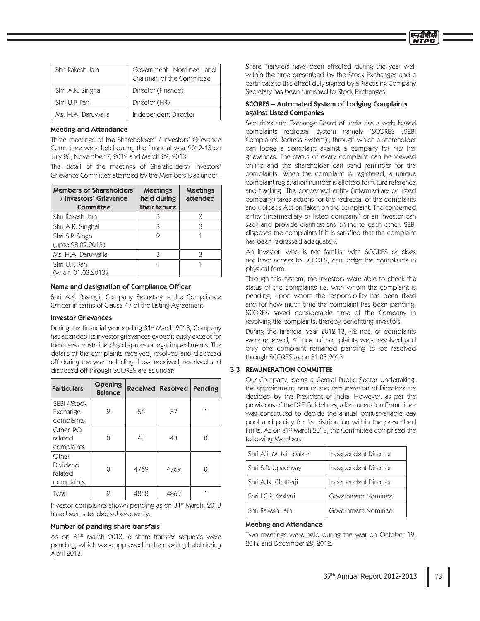| Shri Rakesh Jain   | Government Nominee and<br>Chairman of the Committee |
|--------------------|-----------------------------------------------------|
| Shri A.K. Singhal  | Director (Finance)                                  |
| Shri U.P. Pani     | Director (HR)                                       |
| Ms. H.A. Daruwalla | Independent Director                                |

## Meeting and Attendance

Three meetings of the Shareholders' / Investors' Grievance Committee were held during the financial year 2012-13 on July 26, November 7, 2012 and March 22, 2013.

The detail of the meetings of Shareholders'/ Investors' Grievance Committee attended by the Members is as under:-

| Members of Shareholders'<br>/ Investors' Grievance<br>Committee | <b>Meetings</b><br>held during<br>their tenure | <b>Meetings</b><br>attended |
|-----------------------------------------------------------------|------------------------------------------------|-----------------------------|
| Shri Rakesh Jain                                                |                                                |                             |
| Shri A.K. Singhal                                               | 3                                              |                             |
| Shri S.P. Singh<br>(upto 28.02.2013)                            | 9                                              |                             |
| Ms. H.A. Daruwalla                                              | 3                                              |                             |
| Shri U.P. Pani<br>(w.e.f. 01.03.2013)                           |                                                |                             |

## Name and designation of Compliance Officer

Shri A.K. Rastogi, Company Secretary is the Compliance Officer in terms of Clause 47 of the Listing Agreement.

#### Investor Grievances

During the financial year ending 31<sup>st</sup> March 2013, Company has attended its investor grievances expeditiously except for the cases constrained by disputes or legal impediments. The details of the complaints received, resolved and disposed off during the year including those received, resolved and disposed off through SCORES are as under:

| <b>Particulars</b>                         | <b>Opening</b><br><b>Balance</b> |      | Received Resolved | Pending |
|--------------------------------------------|----------------------------------|------|-------------------|---------|
| SEBI / Stock<br>Exchange<br>complaints     | $\mathbf{Q}$                     | 56   | 57                |         |
| Other IPO<br>related<br>complaints         |                                  | 43   | 43                |         |
| Other<br>Dividend<br>related<br>complaints |                                  | 4769 | 4769              |         |
| Total                                      | 2                                | 4868 | 4869              |         |

Investor complaints shown pending as on 31<sup>st</sup> March, 2013 have been attended subsequently.

### Number of pending share transfers

As on 31<sup>st</sup> March 2013, 6 share transfer requests were pending, which were approved in the meeting held during April 2013.

Share Transfers have been affected during the year well within the time prescribed by the Stock Exchanges and a certificate to this effect duly signed by a Practising Company Secretary has been furnished to Stock Exchanges.

## SCORES – Automated System of Lodging Complaints against Listed Companies

Securities and Exchange Board of India has a web based complaints redressal system namely 'SCORES (SEBI Complaints Redress System)', through which a shareholder can lodge a complaint against a company for his/ her grievances. The status of every complaint can be viewed online and the shareholder can send reminder for the complaints. When the complaint is registered, a unique complaint registration number is allotted for future reference and tracking. The concerned entity (intermediary or listed company) takes actions for the redressal of the complaints and uploads Action Taken on the complaint. The concerned entity (intermediary or listed company) or an investor can seek and provide clarifications online to each other. SEBI disposes the complaints if it is satisfied that the complaint has been redressed adequately.

An investor, who is not familiar with SCORES or does not have access to SCORES, can lodge the complaints in physical form.

Through this system, the investors were able to check the status of the complaints i.e. with whom the complaint is pending, upon whom the responsibility has been fixed and for how much time the complaint has been pending. SCORES saved considerable time of the Company in resolving the complaints, thereby benefitting investors.

During the financial year 2012-13, 42 nos. of complaints were received, 41 nos. of complaints were resolved and only one complaint remained pending to be resolved through SCORES as on 31.03.2013.

## 3.3 REMUNERATION COMMITTEE

Our Company, being a Central Public Sector Undertaking, the appointment, tenure and remuneration of Directors are decided by the President of India. However, as per the provisions of the DPE Guidelines, a Remuneration Committee was constituted to decide the annual bonus/variable pay pool and policy for its distribution within the prescribed limits. As on 31<sup>st</sup> March 2013, the Committee comprised the following Members:

| Shri Ajit M. Nimbalkar | Independent Director |
|------------------------|----------------------|
| Shri S.R. Upadhyay     | Independent Director |
| Shri A.N. Chatterji    | Independent Director |
| Shri I.C.P. Keshari    | Government Nominee   |
| Shri Rakesh Jain       | Government Nominee   |

#### Meeting and Attendance

Two meetings were held during the year on October 19, 2012 and December 28, 2012.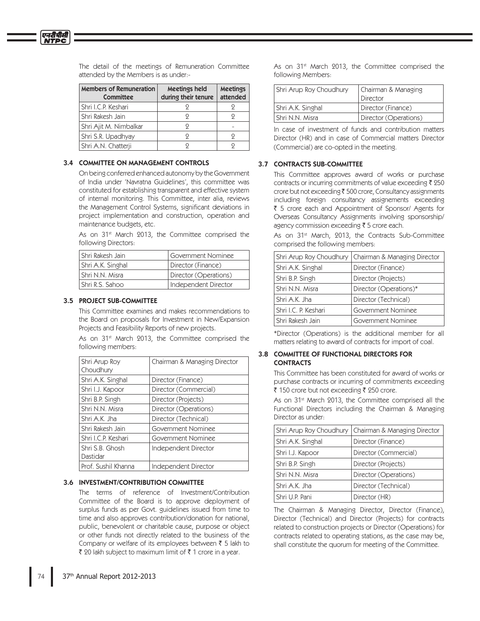| <b>Members of Remuneration</b><br>Committee | Meetings held<br>during their tenure | <b>Meetings</b><br>attended |
|---------------------------------------------|--------------------------------------|-----------------------------|
| Shri I.C.P. Keshari                         |                                      |                             |
| Shri Rakesh Jain                            |                                      |                             |
| Shri Ajit M. Nimbalkar                      | 9                                    |                             |
| Shri S.R. Upadhyay                          | 9                                    | 9                           |
| Shri A.N. Chatterji                         |                                      |                             |

The detail of the meetings of Remuneration Committee attended by the Members is as under:-

#### 3.4 COMMITTEE ON MANAGEMENT CONTROLS

On being conferred enhanced autonomy by the Government of India under 'Navratna Guidelines', this committee was constituted for establishing transparent and effective system of internal monitoring. This Committee, inter alia, reviews the Management Control Systems, significant deviations in project implementation and construction, operation and maintenance budgets, etc.

As on 31<sup>st</sup> March 2013, the Committee comprised the following Directors:

| I Shri Rakesh Jain | Government Nominee    |
|--------------------|-----------------------|
| Shri A.K. Singhal  | Director (Finance)    |
| l Shri N.N. Misra  | Director (Operations) |
| l Shri R.S. Sahoo  | Independent Director  |

## 3.5 PROJECT SUB-COMMITTEE

This Committee examines and makes recommendations to the Board on proposals for Investment in New/Expansion Projects and Feasibility Reports of new projects.

As on 31<sup>st</sup> March 2013, the Committee comprised the following members:

| Shri Arup Roy       | Chairman & Managing Director |
|---------------------|------------------------------|
| Choudhury           |                              |
| Shri A.K. Singhal   | Director (Finance)           |
| Shri I.J. Kapoor    | Director (Commercial)        |
| Shri B.P. Singh     | Director (Projects)          |
| Shri N.N. Misra     | Director (Operations)        |
| Shri A.K. Jha       | Director (Technical)         |
| Shri Rakesh Jain    | Government Nominee           |
| Shri I.C.P. Keshari | Government Nominee           |
| Shri S.B. Ghosh     | Independent Director         |
| Dastidar            |                              |
| Prof. Sushil Khanna | Independent Director         |

## 3.6 INVESTMENT/CONTRIBUTION COMMITTEE

The terms of reference of Investment/Contribution Committee of the Board is to approve deployment of surplus funds as per Govt. guidelines issued from time to time and also approves contribution/donation for national, public, benevolent or charitable cause, purpose or object or other funds not directly related to the business of the Company or welfare of its employees between ₹ 5 lakh to ₹ 20 lakh subject to maximum limit of ₹ 1 crore in a year.

As on 31<sup>st</sup> March 2013, the Committee comprised the following Members:

| Shri Arup Roy Choudhury | Chairman & Managing<br>Director |
|-------------------------|---------------------------------|
| Shri A.K. Singhal       | Director (Finance)              |
| l Shri N.N. Misra       | Director (Operations)           |

In case of investment of funds and contribution matters Director (HR) and in case of Commercial matters Director (Commercial) are co-opted in the meeting.

## 3.7 CONTRACTS SUB-COMMITTEE

This Committee approves award of works or purchase contracts or incurring commitments of value exceeding ₹ 250 crore but not exceeding ₹ 500 crore, Consultancy assignments including foreign consultancy assignements exceeding ₹ 5 crore each and Appointment of Sponsor/ Agents for Overseas Consultancy Assignments involving sponsorship/ agency commission exceeding ₹ 5 crore each.

As on 31<sup>st</sup> March, 2013, the Contracts Sub-Committee comprised the following members:

| Shri Arup Roy Choudhury | Chairman & Managing Director |
|-------------------------|------------------------------|
| Shri A.K. Singhal       | Director (Finance)           |
| Shri B.P. Singh         | Director (Projects)          |
| Shri N.N. Misra         | Director (Operations)*       |
| Shri A.K. Jha           | Director (Technical)         |
| Shri I.C. P. Keshari    | Government Nominee           |
| Shri Rakesh Jain        | Government Nominee           |
|                         |                              |

\*Director (Operations) is the additional member for all matters relating to award of contracts for import of coal.

## 3.8 COMMITTEE OF FUNCTIONAL DIRECTORS FOR **CONTRACTS**

This Committee has been constituted for award of works or purchase contracts or incurring of commitments exceeding ₹ 150 crore but not exceeding ₹ 250 crore.

As on 31<sup>st</sup> March 2013, the Committee comprised all the Functional Directors including the Chairman & Managing Director as under:

| Shri Arup Roy Choudhury | Chairman & Managing Director |
|-------------------------|------------------------------|
| Shri A.K. Singhal       | Director (Finance)           |
| Shri I.J. Kapoor        | Director (Commercial)        |
| Shri B.P. Singh         | Director (Projects)          |
| Shri N.N. Misra         | Director (Operations)        |
| Shri A.K. Jha           | Director (Technical)         |
| Shri U.P. Pani          | Director (HR)                |

The Chairman & Managing Director, Director (Finance), Director (Technical) and Director (Projects) for contracts related to construction projects or Director (Operations) for contracts related to operating stations, as the case may be, shall constitute the quorum for meeting of the Committee.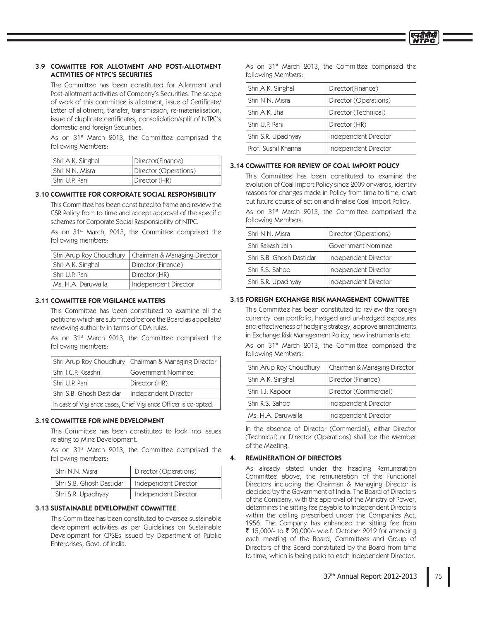## 3.9 COMMITTEE FOR ALLOTMENT AND POST-ALLOTMENT ACTIVITIES OF NTPC'S SECURITIES

The Committee has been constituted for Allotment and Post-allotment activities of Company's Securities. The scope of work of this committee is allotment, issue of Certificate/ Letter of allotment, transfer, transmission, re-materialisation, issue of duplicate certificates, consolidation/split of NTPC's domestic and foreign Securities.

As on 31<sup>st</sup> March 2013, the Committee comprised the following Members:

| Shri A.K. Singhal | Director(Finance)     |
|-------------------|-----------------------|
| l Shri N.N. Misra | Director (Operations) |
| l Shri U.P. Pani  | Director (HR)         |

## 3.10 COMMITTEE FOR CORPORATE SOCIAL RESPONSIBILITY

This Committee has been constituted to frame and review the CSR Policy from to time and accept approval of the specific schemes for Corporate Social Responsibility of NTPC.

As on 31<sup>st</sup> March, 2013, the Committee comprised the following members:

|                      | Shri Arup Roy Choudhury   Chairman & Managing Director |
|----------------------|--------------------------------------------------------|
| Shri A.K. Singhal    | Director (Finance)                                     |
| l Shri U.P. Pani     | Director (HR)                                          |
| l Ms. H.A. Daruwalla | Independent Director                                   |

## 3.11 COMMITTEE FOR VIGILANCE MATTERS

This Committee has been constituted to examine all the petitions which are submitted before the Board as appellate/ reviewing authority in terms of CDA rules.

As on 31<sup>st</sup> March 2013, the Committee comprised the following members:

|                                                                  | Shri Arup Roy Choudhury   Chairman & Managing Director |  |
|------------------------------------------------------------------|--------------------------------------------------------|--|
| l Shri I.C.P. Keashri                                            | Government Nominee                                     |  |
| l Shri U.P. Pani                                                 | Director (HR)                                          |  |
| l Shri S.B. Ghosh Dastidar<br>Independent Director               |                                                        |  |
| In case of Vigilance cases, Chief Vigilance Officer is co-opted. |                                                        |  |

## 3.12 COMMITTEE FOR MINE DEVELOPMENT

This Committee has been constituted to look into issues relating to Mine Development.

As on 31<sup>st</sup> March 2013, the Committee comprised the following members:

| Shri N.N. Misra          | Director (Operations) |
|--------------------------|-----------------------|
| Shri S.B. Ghosh Dastidar | Independent Director  |
| Shri S.R. Upadhyay       | Independent Director  |

## 3.13 SUSTAINABLE DEVELOPMENT COMMITTEE

This Committee has been constituted to oversee sustainable development activities as per Guidelines on Sustainable Development for CPSEs issued by Department of Public Enterprises, Govt. of India.

As on 31<sup>st</sup> March 2013, the Committee comprised the following Members:

| Shri A.K. Singhal   | Director(Finance)     |
|---------------------|-----------------------|
| Shri N.N. Misra     | Director (Operations) |
| Shri A.K. Jha       | Director (Technical)  |
| Shri U.P. Pani      | Director (HR)         |
| Shri S.R. Upadhyay  | Independent Director  |
| Prof. Sushil Khanna | Independent Director  |

## 3.14 COMMITTEE FOR REVIEW OF COAL IMPORT POLICY

This Committee has been constituted to examine the evolution of Coal Import Policy since 2009 onwards, identify reasons for changes made in Policy from time to time, chart out future course of action and finalise Coal Import Policy.

As on 31<sup>st</sup> March 2013, the Committee comprised the following Members:

| Shri N.N. Misra          | Director (Operations) |
|--------------------------|-----------------------|
| Shri Rakesh Jain         | Government Nominee    |
| Shri S.B. Ghosh Dastidar | Independent Director  |
| Shri R.S. Sahoo          | Independent Director  |
| Shri S.R. Upadhyay       | Independent Director  |

## 3.15 FOREIGN EXCHANGE RISK MANAGEMENT COMMITTEE

This Committee has been constituted to review the foreign currency loan portfolio, hedged and un-hedged exposures and effectiveness of hedging strategy, approve amendments in Exchange Risk Management Policy, new instruments etc.

As on 31<sup>st</sup> March 2013, the Committee comprised the following Members:

| Shri Arup Roy Choudhury | Chairman & Managing Director |
|-------------------------|------------------------------|
| Shri A.K. Singhal       | Director (Finance)           |
| Shri I.J. Kapoor        | Director (Commercial)        |
| Shri R.S. Sahoo         | Independent Director         |
| Ms. H.A. Daruwalla      | Independent Director         |

In the absence of Director (Commercial), either Director (Technical) or Director (Operations) shall be the Member of the Meeting.

## 4. REMUNERATION OF DIRECTORS

As already stated under the heading Remuneration Committee above, the remuneration of the Functional Directors including the Chairman & Managing Director is decided by the Government of India. The Board of Directors of the Company, with the approval of the Ministry of Power, determines the sitting fee payable to Independent Directors within the ceiling prescribed under the Companies Act, 1956. The Company has enhanced the sitting fee from ₹ 15,000/- to ₹ 20,000/- w.e.f. October 2012 for attending each meeting of the Board, Committees and Group of Directors of the Board constituted by the Board from time to time, which is being paid to each Independent Director.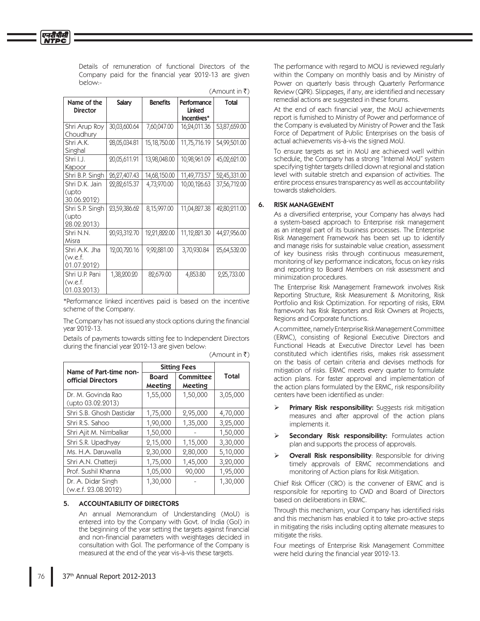Details of remuneration of functional Directors of the Company paid for the financial year 2012-13 are given below:-

एनदीपीसी

| Name of the<br><b>Director</b>           | Salary       | <b>Benefits</b> | Performance<br>Linked<br>Incentives* | Total        |
|------------------------------------------|--------------|-----------------|--------------------------------------|--------------|
| Shri Arup Roy<br>Choudhury               | 30,03,600.64 | 7,60,047.00     | 16,24,011.36                         | 53,87,659.00 |
| Shri A.K.<br>Singhal                     | 28,05,034.81 | 15,18,750.00    | 11,75,716.19                         | 54,99,501.00 |
| Shri I.J.<br>Kapoor                      | 20,05,611.91 | 13,98,048.00    | 10,98,961.09                         | 45,02,621.00 |
| Shri B.P. Singh                          | 26,27,407.43 | 14,68,150.00    | 11,49,773.57                         | 52,45,331.00 |
| Shri D.K. Jain<br>(upto<br>30.06.2012)   | 22,82,615.37 | 4,73,970.00     | 10,00,126.63                         | 37,56,712.00 |
| Shri S.P. Singh<br>(upto<br>28.02.2013)  | 23,59,386.62 | 8,15,997.00     | 11,04,827.38                         | 42,80,211.00 |
| Shri N.N.<br>Misra                       | 20,93,312.70 | 12,21,822.00    | 11,12,821.30                         | 44,27,956.00 |
| Shri A.K. Jha<br>(w.e.f.<br>01.07.2012)  | 12,00,720.16 | 9,92,881.00     | 3,70,930.84                          | 25,64,532.00 |
| Shri U.P. Pani<br>(w.e.f.<br>01.03.2013) | 1,38,200.20  | 82,679.00       | 4,853.80                             | 2,25,733.00  |

\*Performance linked incentives paid is based on the incentive scheme of the Company.

The Company has not issued any stock options during the financial year 2012-13.

Details of payments towards sitting fee to Independent Directors during the financial year 2012-13 are given below:

| Name of Part-time non-                    | <b>Sitting Fees</b>     |                      |              |
|-------------------------------------------|-------------------------|----------------------|--------------|
| <b>official Directors</b>                 | <b>Board</b><br>Meeting | Committee<br>Meeting | <b>Total</b> |
| Dr. M. Govinda Rao<br>(upto 03.02.2013)   | 1,55,000                | 1,50,000             | 3,05,000     |
| Shri S.B. Ghosh Dastidar                  | 1,75,000                | 2,95,000             | 4,70,000     |
| Shri R.S. Sahoo                           | 1,90,000                | 1,35,000             | 3,25,000     |
| Shri Ajit M. Nimbalkar                    | 1,50,000                |                      | 1,50,000     |
| Shri S.R. Upadhyay                        | 2,15,000                | 1,15,000             | 3,30,000     |
| Ms. H.A. Daruwalla                        | 2,30,000                | 2,80,000             | 5,10,000     |
| Shri A.N. Chatterji                       | 1,75,000                | 1,45,000             | 3,20,000     |
| Prof. Sushil Khanna                       | 1,05,000                | 90,000               | 1,95,000     |
| Dr. A. Didar Singh<br>(w.e.f. 23.08.2012) | 1,30,000                |                      | 1,30,000     |

(Amount in ₹)

 $(A$ mount in  $\bar{z}$ )

## 5. ACCOUNTABILITY OF DIRECTORS

An annual Memorandum of Understanding (MoU) is entered into by the Company with Govt. of India (GoI) in the beginning of the year setting the targets against financial and non-financial parameters with weightages decided in consultation with Gol. The performance of the Company is measured at the end of the year vis-à-vis these targets.

The performance with regard to MOU is reviewed regularly within the Company on monthly basis and by Ministry of Power on quarterly basis through Quarterly Performance Review (QPR). Slippages, if any, are identified and necessary remedial actions are suggested in these forums.

At the end of each financial year, the MoU achievements report is furnished to Ministry of Power and performance of the Company is evaluated by Ministry of Power and the Task Force of Department of Public Enterprises on the basis of actual achievements vis-à-vis the signed MoU.

To ensure targets as set in MoU are achieved well within schedule, the Company has a strong "Internal MoU" system specifying tighter targets drilled down at regional and station level with suitable stretch and expansion of activities. The entire process ensures transparency as well as accountability towards stakeholders.

## 6. RISK MANAGEMENT

As a diversified enterprise, your Company has always had a system-based approach to Enterprise risk management as an integral part of its business processes. The Enterprise Risk Management Framework has been set up to identify and manage risks for sustainable value creation, assessment of key business risks through continuous measurement, monitoring of key performance indicators, focus on key risks and reporting to Board Members on risk assessment and minimization procedures.

The Enterprise Risk Management Framework involves Risk Reporting Structure, Risk Measurement & Monitoring, Risk Portfolio and Risk Optimization. For reporting of risks, ERM framework has Risk Reporters and Risk Owners at Projects, Regions and Corporate functions.

A committee, namely Enterprise Risk Management Committee (ERMC), consisting of Regional Executive Directors and Functional Heads at Executive Director Level has been constituted which identifies risks, makes risk assessment on the basis of certain criteria and devises methods for mitigation of risks. ERMC meets every quarter to formulate action plans. For faster approval and implementation of the action plans formulated by the ERMC, risk responsibility centers have been identified as under:

- Primary Risk responsibility: Suggests risk mitigation measures and after approval of the action plans implements it.
- Secondary Risk responsibility: Formulates action plan and supports the process of approvals.
- **Overall Risk responsibility:** Responsible for driving timely approvals of ERMC recommendations and monitoring of Action plans for Risk Mitigation.

Chief Risk Officer (CRO) is the convener of ERMC and is responsible for reporting to CMD and Board of Directors based on deliberations in ERMC.

Through this mechanism, your Company has identified risks and this mechanism has enabled it to take pro-active steps in mitigating the risks including opting alternate measures to mitigate the risks.

Four meetings of Enterprise Risk Management Committee were held during the financial year 2012-13.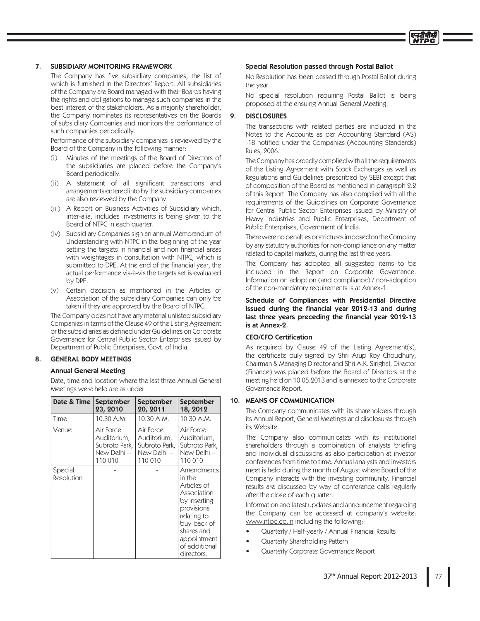#### **SUBSIDIARY MONITORING FRAMEWORK** 7.

The Company has five subsidiary companies, the list of which is furnished in the Directors' Report. All subsidiaries of the Company are Board managed with their Boards having the rights and obligations to manage such companies in the best interest of the stakeholders. As a majority shareholder, the Company nominates its representatives on the Boards of subsidiary Companies and monitors the performance of such companies periodically.

Performance of the subsidiary companies is reviewed by the Board of the Company in the following manner:

- Minutes of the meetings of the Board of Directors of  $(i)$ the subsidiaries are placed before the Company's Board periodically.
- (ii) A statement of all significant transactions and arrangements entered into by the subsidiary companies are also reviewed by the Company.
- (iii) A Report on Business Activities of Subsidiary which, inter-alia, includes investments is being given to the Board of NTPC in each quarter.
- (iv) Subsidiary Companies sign an annual Memorandum of Understanding with NTPC in the beginning of the year setting the targets in financial and non-financial areas with weightages in consultation with NTPC, which is submitted to DPE. At the end of the financial year, the actual performance vis-à-vis the targets set is evaluated by DPE.
- (v) Certain decision as mentioned in the Articles of Association of the subsidiary Companies can only be taken if they are approved by the Board of NTPC.

The Company does not have any material unlisted subsidiary Companies in terms of the Clause 49 of the Listing Agreement or the subsidiaries as defined under Guidelines on Corporate Governance for Central Public Sector Enterprises issued by Department of Public Enterprises, Govt. of India.

#### **GENERAL BODY MEETINGS** 8.

## **Annual General Meeting**

Date, time and location where the last three Annual General Meetings were held are as under:

| Date & Time           | September     | September     | September                                                                                                                                                                  |
|-----------------------|---------------|---------------|----------------------------------------------------------------------------------------------------------------------------------------------------------------------------|
|                       | 23, 2010      | 20, 2011      | 18, 2012                                                                                                                                                                   |
| Time                  | 10.30 A.M.    | 10.30 A.M.    | 10.30 A.M.                                                                                                                                                                 |
| Venue                 | Air Force     | Air Force     | Air Force                                                                                                                                                                  |
|                       | Auditorium,   | Auditorium,   | Auditorium,                                                                                                                                                                |
|                       | Subroto Park, | Subroto Park, | Subroto Park,                                                                                                                                                              |
|                       | New Delhi —   | New Delhi -   | New Delhi -                                                                                                                                                                |
|                       | 110 010       | 110 010       | 110 010                                                                                                                                                                    |
| Special<br>Resolution |               |               | Amendments<br>in the<br>Articles of<br>Association<br>by inserting<br>provisions<br>relating to<br>buy-back of<br>shares and<br>appointment<br>of additional<br>directors. |

#### Special Resolution passed through Postal Ballot

No Resolution has been passed through Postal Ballot during the year.

No special resolution requiring Postal Ballot is being proposed at the ensuing Annual General Meeting.

#### 9. **DISCLOSURES**

The transactions with related parties are included in the Notes to the Accounts as per Accounting Standard (AS) -18 notified under the Companies (Accounting Standards) Rules, 2006.

The Company has broadly complied with all the requirements of the Listing Agreement with Stock Exchanges as well as Regulations and Guidelines prescribed by SEBI except that of composition of the Board as mentioned in paragraph 2.2 of this Report. The Company has also complied with all the requirements of the Guidelines on Corporate Governance for Central Public Sector Enterprises issued by Ministry of Heavy Industries and Public Enterprises, Department of Public Enterprises, Government of India.

There were no penalties or strictures imposed on the Company by any statutory authorities for non-compliance on any matter related to capital markets, during the last three years.

The Company has adopted all suggested items to be included in the Report on Corporate Governance. Information on adoption (and compliance) / non-adoption of the non-mandatory requirements is at Annex-1.

Schedule of Compliances with Presidential Directive issued during the financial year 2012-13 and during last three years preceding the financial year 2012-13 is at Annex-2.

## **CEO/CFO Certification**

As required by Clause 49 of the Listing Agreement(s), the certificate duly signed by Shri Arup Roy Choudhury, Chairman & Managing Director and Shri A.K. Singhal, Director (Finance) was placed before the Board of Directors at the meeting held on 10.05.2013 and is annexed to the Corporate Governance Report.

## 10. MEANS OF COMMUNICATION

The Company communicates with its shareholders through its Annual Report, General Meetings and disclosures through its Website.

The Company also communicates with its institutional shareholders through a combination of analysts briefing and individual discussions as also participation at investor conferences from time to time. Annual analysts and investors meet is held during the month of August where Board of the Company interacts with the investing community. Financial results are discussed by way of conference calls regularly after the close of each quarter.

Information and latest updates and announcement regarding the Company can be accessed at company's website: www.ntpc.co.in including the following:-

- Quarterly / Half-yearly / Annual Financial Results
- Quarterly Shareholding Pattern
- Quarterly Corporate Governance Report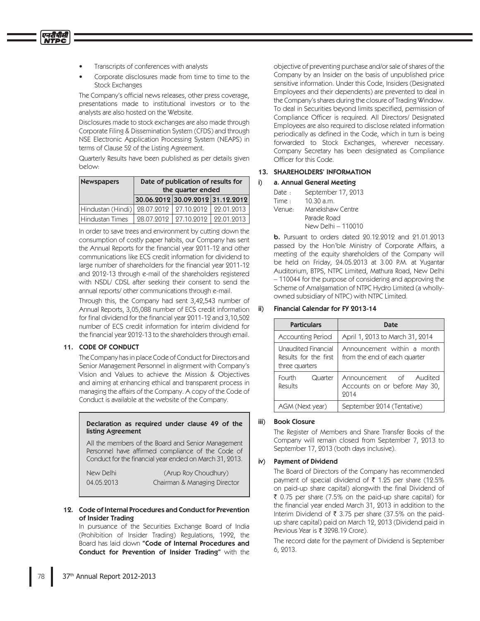Transcripts of conferences with analysts

एनटीपीसी

Corporate disclosures made from time to time to the **Stock Exchanges** 

The Company's official news releases, other press coverage, presentations made to institutional investors or to the analysts are also hosted on the Website.

Disclosures made to stock exchanges are also made through Corporate Filing & Dissemination System (CFDS) and through NSE Electronic Application Processing System (NEAPS) in terms of Clause 52 of the Listing Agreement.

Quarterly Results have been published as per details given below:

| <b>Newspapers</b>                         | Date of publication of results for<br>the quarter ended |                                  |             |
|-------------------------------------------|---------------------------------------------------------|----------------------------------|-------------|
|                                           |                                                         | 30.06.2012 30.09.2012 31.12.2012 |             |
| Hindustan (Hindi) 28.07.2012   27.10.2012 |                                                         |                                  | 199.01.9013 |
| Hindustan Times                           |                                                         | 28.07.2012 27.10.2012            | 99.01.9013  |

In order to save trees and environment by cutting down the consumption of costly paper habits, our Company has sent the Annual Reports for the financial year 2011-12 and other communications like ECS credit information for dividend to large number of shareholders for the financial year 2011-12 and 2012-13 through e-mail of the shareholders registered with NSDL/ CDSL after seeking their consent to send the annual reports/ other communications through e-mail.

Through this, the Company had sent 3,42,543 number of Annual Reports, 3,05,088 number of ECS credit information for final dividend for the financial year 2011-12 and 3,10,502 number of ECS credit information for interim dividend for the financial year 2012-13 to the shareholders through email.

## 11. CODE OF CONDUCT

The Company has in place Code of Conduct for Directors and Senior Management Personnel in alignment with Company's Vision and Values to achieve the Mission & Objectives and aiming at enhancing ethical and transparent process in managing the affairs of the Company. A copy of the Code of Conduct is available at the website of the Company.

## Declaration as required under clause 49 of the listing Agreement

All the members of the Board and Senior Management Personnel have affirmed compliance of the Code of Conduct for the financial year ended on March 31, 2013.

| New Delhi  | (Arup Roy Choudhury)         |
|------------|------------------------------|
| 04.05.2013 | Chairman & Managing Director |

## 12. Code of Internal Procedures and Conduct for Prevention of Insider Trading

In pursuance of the Securities Exchange Board of India (Prohibition of Insider Trading) Regulations, 1992, the Board has laid down "Code of Internal Procedures and Conduct for Prevention of Insider Trading" with the objective of preventing purchase and/or sale of shares of the Company by an Insider on the basis of unpublished price sensitive information. Under this Code, Insiders (Designated Employees and their dependents) are prevented to deal in the Company's shares during the closure of Trading Window. To deal in Securities beyond limits specified, permission of Compliance Officer is required. All Directors/ Designated Employees are also required to disclose related information periodically as defined in the Code, which in turn is being forwarded to Stock Exchanges, wherever necessary. Company Secretary has been designated as Compliance Officer for this Code.

## 13. SHAREHOLDERS' INFORMATION

#### $i)$ a. Annual General Meeting

| Date $\cdot$ | September 17, 2013 |
|--------------|--------------------|
| Time:        | $10.30$ a.m.       |
| Venue:       | Manekshaw Centre   |
|              | Parade Road        |
|              | New Delhi - 110010 |

**b.** Pursuant to orders dated 20.12.2012 and 21.01.2013 passed by the Hon'ble Ministry of Corporate Affairs, a meeting of the equity shareholders of the Company will be held on Friday, 24.05.2013 at 3.00 P.M. at Yugantar Auditorium, BTPS, NTPC Limited, Mathura Road, New Delhi -110044 for the purpose of considering and approving the Scheme of Amalgamation of NTPC Hydro Limited (a whollyowned subsidiary of NTPC) with NTPC Limited.

#### $\mathbf{ii}$ **Financial Calendar for FY 2013-14**

| <b>Particulars</b>                                             | <b>Date</b>                                                      |
|----------------------------------------------------------------|------------------------------------------------------------------|
| <b>Accounting Period</b>                                       | April 1, 2013 to March 31, 2014                                  |
| Unaudited Financial<br>Results for the first<br>three quarters | Announcement within a month<br>from the end of each quarter      |
| Fourth<br>Quarter<br>Results                                   | Announcement of Audited<br>Accounts on or before May 30,<br>2014 |
| AGM (Next year)                                                | September 2014 (Tentative)                                       |

#### $iii)$ **Book Closure**

The Register of Members and Share Transfer Books of the Company will remain closed from September 7, 2013 to September 17, 2013 (both days inclusive).

## iv) Payment of Dividend

The Board of Directors of the Company has recommended payment of special dividend of ₹ 1.25 per share (12.5% on paid-up share capital) alongwith the final Dividend of ₹ 0.75 per share (7.5% on the paid-up share capital) for the financial year ended March 31, 2013 in addition to the Interim Dividend of ₹ 3.75 per share (37.5% on the paidup share capital) paid on March 12, 2013 (Dividend paid in Previous Year is ₹ 3298.19 Crore).

The record date for the payment of Dividend is September 6, 2013.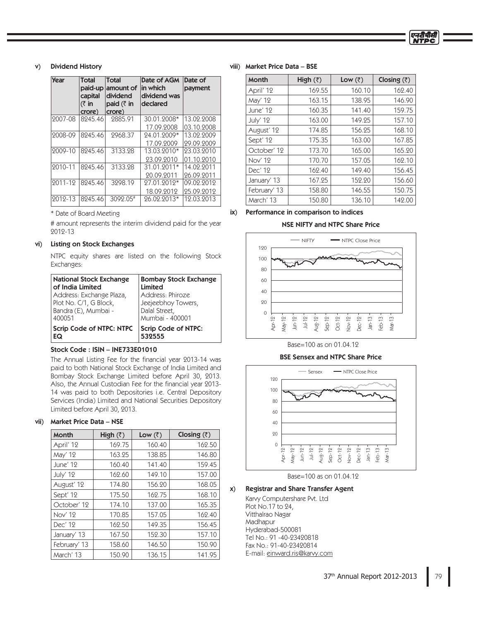## v) Dividend History

| <b>Year</b> | <b>Total</b><br>paid-up<br>capital<br>$(3 \infty)$<br>crore) | <b>Total</b><br>amount of<br>dividend<br>paid $(3 \in \mathbb{R})$<br>crore) | Date of AGM<br>in which<br>dividend was<br>declared | Date of<br>payment |
|-------------|--------------------------------------------------------------|------------------------------------------------------------------------------|-----------------------------------------------------|--------------------|
| 2007-08     | 8245.46                                                      | 2885.91                                                                      | 30.01.2008*                                         | 13.02.2008         |
|             |                                                              |                                                                              | 17.09.2008                                          | 03.10.2008         |
| 2008-09     | 8245.46                                                      | 2968.37                                                                      | 24.01.2009*                                         | 13.02.2009         |
|             |                                                              |                                                                              | 17.09.2009                                          | 29.09.2009         |
| 9009-10     | 8245.46                                                      | 3133.28                                                                      | 13.03.2010*                                         | 23.03.2010         |
|             |                                                              |                                                                              | 23.09.2010                                          | 01.10.2010         |
| 2010-11     | 8245.46                                                      | 3133.28                                                                      | 31.01.2011*                                         | 14.02.2011         |
|             |                                                              |                                                                              | 20.09.2011                                          | 26.09.2011         |
| 9011-19     | 8245.46                                                      | 3298.19                                                                      | 27.01.2012*                                         | 09.02.2012         |
|             |                                                              |                                                                              | 18.09.2012                                          | 25.09.2012         |
| 2012-13     | 8245.46                                                      | 3092.05#                                                                     | 26.02.2013*                                         | 12.03.2013         |

\* Date of Board Meeting

# amount represents the interim dividend paid for the year 2012-13

#### vi) Listing on Stock Exchanges

NTPC equity shares are listed on the following Stock Exchanges:

| <b>National Stock Exchange</b> | <b>Bombay Stock Exchange</b> |
|--------------------------------|------------------------------|
| of India Limited               | Limited                      |
| Address: Exchange Plaza,       | Address: Phiroze             |
| Plot No. C/1, G Block,         | Jeejeebhoy Towers,           |
| Bandra (E), Mumbai -           | Dalal Street,                |
| 400051                         | Mumbai - 400001              |
| Scrip Code of NTPC: NTPC       | <b>Scrip Code of NTPC:</b>   |
| EQ                             | 532555                       |

## Stock Code : ISIN – INE733E01010

The Annual Listing Fee for the financial year 2013-14 was paid to both National Stock Exchange of India Limited and Bombay Stock Exchange Limited before April 30, 2013. Also, the Annual Custodian Fee for the financial year 2013-14 was paid to both Depositories i.e. Central Depository Services (India) Limited and National Securities Depository Limited before April 30, 2013.

#### vii) Market Price Data – NSE

| Month        | High $(\overline{z})$ | Low $(\overline{\zeta})$ | Closing $(\bar{z})$ |
|--------------|-----------------------|--------------------------|---------------------|
| April' 12    | 169.75                | 160.40                   | 162.50              |
| May' 12      | 163.25                | 138.85                   | 146.80              |
| June' 12     | 160.40                | 141.40                   | 159.45              |
| July' 12     | 162.60                | 149.10                   | 157.00              |
| August' 12   | 174.80                | 156.20                   | 168.05              |
| Sept' 12     | 175.50                | 162.75                   | 168.10              |
| October' 12  | 174.10                | 137.00                   | 165.35              |
| Nov' 12      | 170.85                | 157.05                   | 162.40              |
| Dec' 12      | 162.50                | 149.35                   | 156.45              |
| January' 13  | 167.50                | 152.30                   | 157.10              |
| February' 13 | 158.60                | 146.50                   | 150.90              |
| March' 13    | 150.90                | 136.15                   | 141.95              |

#### viii) Market Price Data – BSE

| <b>Month</b> | High $(\bar{z})$ | Low $(\bar{z})$ | Closing $(\bar{z})$ |
|--------------|------------------|-----------------|---------------------|
| April' 12    | 169.55           | 160.10          | 162.40              |
| May' 12      | 163.15           | 138.95          | 146.90              |
| June' 12     | 160.35           | 141.40          | 159.75              |
| July' 12     | 163.00           | 149.25          | 157.10              |
| August' 12   | 174.85           | 156.25          | 168.10              |
| Sept' 12     | 175.35           | 163.00          | 167.85              |
| October' 12  | 173.70           | 165.00          | 165.20              |
| Nov' 12      | 170.70           | 157.05          | 162.10              |
| Dec' 12      | 162.40           | 149.40          | 156.45              |
| January' 13  | 167.25           | 152.20          | 156.60              |
| February' 13 | 158.80           | 146.55          | 150.75              |
| March' 13    | 150.80           | 136.10          | 142.00              |

एनदीपीसी **NTPC** 

## ix) Performance in comparison to indices

## NSE NIFTY and NTPC Share Price



#### Base=100 as on 01.04.12

## BSE Sensex and NTPC Share Price



Base=100 as on 01.04.12

# x) Registrar and Share Transfer Agent

Karvy Computershare Pvt. Ltd Plot No.17 to 24, Vitthalrao Nagar Madhapur Hyderabad-500081 Tel No.: 91 -40-23420818 Fax No.: 91-40-23420814 E-mail: einward.ris@karvy.com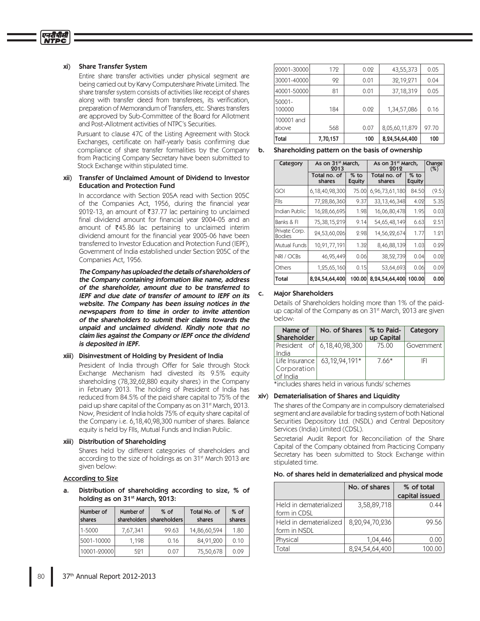#### xi) Share Transfer System

एनदीपीसी

Entire share transfer activities under physical segment are being carried out by Karvy Computershare Private Limited. The share transfer system consists of activities like receipt of shares along with transfer deed from transferees, its verification, preparation of Memorandum of Transfers, etc. Shares transfers are approved by Sub-Committee of the Board for Allotment and Post-Allotment activities of NTPC's Securities.

Pursuant to clause 47C of the Listing Agreement with Stock Exchanges, certificate on half-yearly basis confirming due compliance of share transfer formalities by the Company from Practicing Company Secretary have been submitted to Stock Exchange within stipulated time.

#### xii) Transfer of Unclaimed Amount of Dividend to Investor Education and Protection Fund

In accordance with Section 205A read with Section 205C of the Companies Act, 1956, during the financial year 2012-13, an amount of ₹37.77 lac pertaining to unclaimed final dividend amount for financial year 2004-05 and an amount of  $\bar{z}$ 45.86 lac pertaining to unclaimed interim dividend amount for the financial year 2005-06 have been transferred to Investor Education and Protection Fund (IEPF), Government of India established under Section 205C of the Companies Act, 1956.

 The Company has uploaded the details of shareholders of the Company containing information like name, address of the shareholder, amount due to be transferred to IEPF and due date of transfer of amount to IEPF on its website. The Company has been issuing notices in the newspapers from to time in order to invite attention of the shareholders to submit their claims towards the unpaid and unclaimed dividend. Kindly note that no claim lies against the Company or IEPF once the dividend is deposited in IEPF.

#### xiii) Disinvestment of Holding by President of India

President of India through Offer for Sale through Stock Exchange Mechanism had divested its 9.5% equity shareholding (78,32,62,880 equity shares) in the Company in February 2013. The holding of President of India has reduced from 84.5% of the paid share capital to 75% of the paid up share capital of the Company as on 31<sup>st</sup> March, 2013. Now, President of India holds 75% of equity share capital of the Company i.e. 6,18,40,98,300 number of shares. Balance equity is held by Flls, Mutual Funds and Indian Public.

#### xiii) Distribution of Shareholding

Shares held by different categories of shareholders and according to the size of holdings as on  $31<sup>st</sup>$  March 2013 are given below:

#### According to Size

Distribution of shareholding according to size, % of holding as on 31<sup>st</sup> March, 2013:

| Number of<br>shares | Number of<br>shareholders | $%$ of<br>shareholders | Total No. of<br>shares | $%$ of<br>shares |
|---------------------|---------------------------|------------------------|------------------------|------------------|
| 1-5000              | 7,67,341                  | 99.63                  | 14,86,60,594           | 1.80             |
| 5001-10000          | 1.198                     | 0.16                   | 84,91,200              | 0.10             |
| 10001-200001        | 591                       | 0.07                   | 75,50,678              | 0.09             |

| Total                | 7,70,157 | 100  | 8,24,54,64,400 | 100   |
|----------------------|----------|------|----------------|-------|
| 100001 and<br>labove | 568      | 0.07 | 8,05,60,11,879 | 97.70 |
| 50001-<br>100000     | 184      | 0.02 | 1,34,57,086    | 0.16  |
| 40001-50000          | 81       | 0.01 | 37, 18, 319    | 0.05  |
| 30001-40000          | 92       | 0.01 | 32,19,271      | 0.04  |
| 20001-30000          | 172      | 0.02 | 43,55,373      | 0.05  |

b. Shareholding pattern on the basis of ownership

| Category                       | As on 31 <sup>st</sup> March,<br>2013 |                         | As on 31 <sup>st</sup> March,<br>2012 | Change<br>(%)           |       |
|--------------------------------|---------------------------------------|-------------------------|---------------------------------------|-------------------------|-------|
|                                | Total no. of<br>shares                | $%$ to<br><b>Equity</b> | Total no. of<br>shares                | $%$ to<br><b>Equity</b> |       |
| <b>GOI</b>                     | 6,18,40,98,300                        | 75.00                   | 6,96,73,61,180                        | 84.50                   | (9.5) |
| <b>FIIs</b>                    | 77,28,86,360                          | 9.37                    | 33, 13, 46, 348                       | 4.02                    | 5.35  |
| Indian Public                  | 16,28,66,695                          | 1.98                    | 16,06,80,478                          | 1.95                    | 0.03  |
| Banks & Fl                     | 75,38,15,219                          | 9.14                    | 54,65,48,149                          | 6.63                    | 2.51  |
| Private Corp.<br><b>Bodies</b> | 24,53,60,026                          | 2.98                    | 14,56,22,674                          | 1.77                    | 1.21  |
| Mutual Funds                   | 10,91,77,191                          | 1.32                    | 8,46,88,139                           | 1.03                    | 0.29  |
| NRI / OCBs                     | 46,95,449                             | 0.06                    | 38,52,739                             | 0.04                    | 0.02  |
| Others                         | 1,25,65,160                           | 0.15                    | 53,64,693                             | 0.06                    | 0.09  |
| Total                          | 8,24,54,64,400                        | 100.00                  | 8,24,54,64,400                        | 100.00                  | 0.00  |

#### c. Major Shareholders

Details of Shareholders holding more than 1% of the paidup capital of the Company as on 31<sup>st</sup> March, 2013 are given below:

| Name of<br><b>Shareholder</b> | No. of Shares                        | % to Paid-<br>up Capital | Category   |
|-------------------------------|--------------------------------------|--------------------------|------------|
|                               | President of 6,18,40,98,300          | 75.00                    | Government |
| India                         |                                      |                          |            |
|                               | Life Insurance $\vert$ 63,12,94,191* | $7.66*$                  | IFI        |
| Corporation                   |                                      |                          |            |
| of India                      |                                      |                          |            |

 $*$  includes shares held in various funds/schemes

#### xiv) Dematerialisation of Shares and Liquidity

The shares of the Company are in compulsory dematerialsed segment and are available for trading system of both National Securities Depository Ltd. (NSDL) and Central Depository Services (India) Limited (CDSL).

Secretarial Audit Report for Reconciliation of the Share Capital of the Company obtained from Practicing Company Secretary has been submitted to Stock Exchange within stipulated time.

#### No. of shares held in dematerialized and physical mode

|                                        | No. of shares      | % of total<br>capital issued |
|----------------------------------------|--------------------|------------------------------|
| Held in dematerialized<br>form in CDSL | 3,58,89,718        | 0.44                         |
| Held in dematerialized<br>form in NSDL | 8,20,94,70,236     | 99.56                        |
| Physical                               | 1.04.446           | 0.00                         |
| Total                                  | 8, 24, 54, 64, 400 | 100.00                       |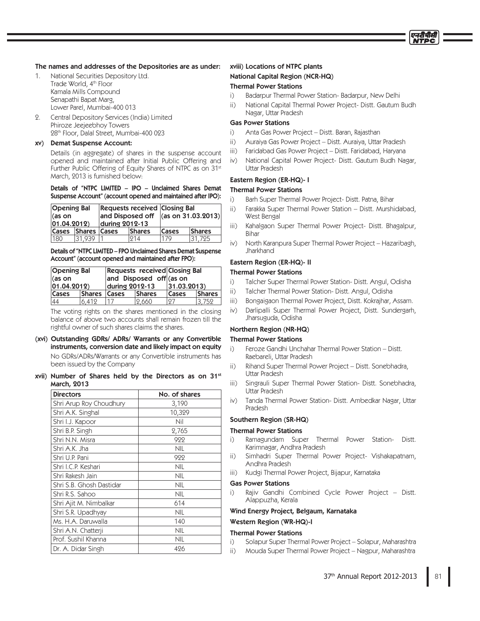## The names and addresses of the Depositories are as under:

- 1. National Securities Depository Ltd. Trade World, 4<sup>th</sup> Floor Kamala Mills Compound Senapathi Bapat Marg, Lower Parel, Mumbai-400 013
- 2. Central Depository Services (India) Limited Phiroze Jeejeebhoy Towers 28<sup>th</sup> Floor, Dalal Street, Mumbai-400 023

#### xv) Demat Suspense Account:

Details (in aggregate) of shares in the suspense account opened and maintained after Initial Public Offering and Further Public Offering of Equity Shares of NTPC as on 31st March, 2013 is furnished below:

#### Details of "NTPC LIMITED – IPO – Unclaimed Shares Demat Suspense Account" (account opened and maintained after IPO):

| <b>Opening Bal</b><br>lías on<br>$ 01.04.2012\rangle$ |                     | <b>Requests received Closing Bal</b><br>and Disposed off $ (as on 31.03.2013) $<br>during 2012-13 |               |              |               |
|-------------------------------------------------------|---------------------|---------------------------------------------------------------------------------------------------|---------------|--------------|---------------|
| <b>Cases</b>                                          | <b>Shares Cases</b> |                                                                                                   | <b>Shares</b> | <b>Cases</b> | <b>Shares</b> |
| 180                                                   | 31.939              |                                                                                                   | 214           | 179          | 31.725        |

Details of "NTPC LIMITED – FPO Unclaimed Shares Demat Suspense Account" (account opened and maintained after FPO):

| <b>Opening Bal</b>   |              | Requests received Closing Bal |        |                      |               |
|----------------------|--------------|-------------------------------|--------|----------------------|---------------|
| l(as on              |              | and Disposed off (as on       |        |                      |               |
| $ 01.04.2012\rangle$ |              | during 2012-13                |        | $ 31.03.2013\rangle$ |               |
| <b>Cases</b>         | Shares Cases |                               | Shares | Cases                | <b>Shares</b> |
| 44                   | 6.412        |                               | 2.660  | 127                  | 3.752         |

The voting rights on the shares mentioned in the closing balance of above two accounts shall remain frozen till the rightful owner of such shares claims the shares.

- (xvi) Outstanding GDRs/ ADRs/ Warrants or any Convertible instruments, conversion date and likely impact on equity No GDRs/ADRs/Warrants or any Convertible instruments has been issued by the Company
- xvii) Number of Shares held by the Directors as on  $31<sup>st</sup>$ March, 2013

| <b>Directors</b>         | No. of shares |  |
|--------------------------|---------------|--|
| Shri Arup Roy Choudhury  | 3,190         |  |
| Shri A.K. Singhal        | 10,329        |  |
| Shri I.J. Kapoor         | Nil           |  |
| Shri B.P. Singh          | 2,765         |  |
| Shri N.N. Misra          | 922           |  |
| Shri A.K. Jha            | <b>NIL</b>    |  |
| Shri U.P. Pani           | 922           |  |
| Shri I.C.P. Keshari      | <b>NIL</b>    |  |
| Shri Rakesh Jain         | <b>NIL</b>    |  |
| Shri S.B. Ghosh Dastidar | <b>NIL</b>    |  |
| Shri R.S. Sahoo          | <b>NIL</b>    |  |
| Shri Ajit M. Nimbalkar   | 614           |  |
| Shri S.R. Upadhyay       | <b>NIL</b>    |  |
| Ms. H.A. Daruwalla       | 140           |  |
| Shri A.N. Chatterji      | <b>NIL</b>    |  |
| Prof. Sushil Khanna      | <b>NIL</b>    |  |
| Dr. A. Didar Singh       | 426           |  |

## xviii) Locations of NTPC plants

#### National Capital Region (NCR-HQ)

#### Thermal Power Stations

- $\overline{1}$ Badarpur Thermal Power Station- Badarpur, New Delhi
- ii) National Capital Thermal Power Project- Distt. Gautum Budh Nagar, Uttar Pradesh

## Gas Power Stations

- $\overline{1}$ Anta Gas Power Project - Distt. Baran, Rajasthan
- $\overline{ii}$ Auraiya Gas Power Project - Distt. Auraiya, Uttar Pradesh
- iii) Faridabad Gas Power Project - Distt. Faridabad, Haryana
- $\dot{I}V$ National Capital Power Project- Distt. Gautum Budh Nagar, Uttar Pradesh

## Eastern Region (ER-HQ)- I

## Thermal Power Stations

- $\overline{1}$ Barh Super Thermal Power Project- Distt. Patna, Bihar
- ii) Farakka Super Thermal Power Station - Distt. Murshidabad, West Bengal
- iii) Kahalgaon Super Thermal Power Project- Distt. Bhagalpur, **Bihar**
- $i\vee j$ North Karanpura Super Thermal Power Project - Hazaribagh, Jharkhand

# Eastern Region (ER-HQ)- II

## Thermal Power Stations

- $\overline{1}$ Talcher Super Thermal Power Station- Distt. Angul, Odisha
- ii) Talcher Thermal Power Station- Distt. Angul, Odisha
- iii) Bongaigaon Thermal Power Project, Distt. Kokrajhar, Assam.
- $\dot{I}V$ Darlipalli Super Thermal Power Project, Distt. Sundergarh, Jharsuguda, Odisha

# Northern Region (NR-HQ)

## Thermal Power Stations

- $\overline{1}$ Feroze Gandhi Unchahar Thermal Power Station - Distt. Raebareli, Uttar Pradesh
- $\mathsf{ii}$ ) Rihand Super Thermal Power Project – Distt. Sonebhadra, Uttar Pradesh
- iii) Singrauli Super Thermal Power Station- Distt. Sonebhadra, Uttar Pradesh
- iv) Tanda Thermal Power Station- Distt. Ambedkar Nagar, Uttar Pradesh

#### Southern Region (SR-HQ)

## Thermal Power Stations

- $\ddot{\phantom{1}}$ Ramagundam Super Thermal Power Station- Distt. Karimnagar, Andhra Pradesh
- ii). Simhadri Super Thermal Power Project- Vishakapatnam, Andhra Pradesh
- iii) Kudgi Thermal Power Project, Bijapur, Karnataka

#### Gas Power Stations

i) Rajiv Gandhi Combined Cycle Power Project - Distt. Alappuzha, Kerala

#### Wind Energy Project, Belgaum, Karnataka

#### Western Region (WR-HQ)-I

## Thermal Power Stations

- $\mathbf{i}$ Solapur Super Thermal Power Project - Solapur, Maharashtra
- $\overline{ii}$ Mouda Super Thermal Power Project - Nagpur, Maharashtra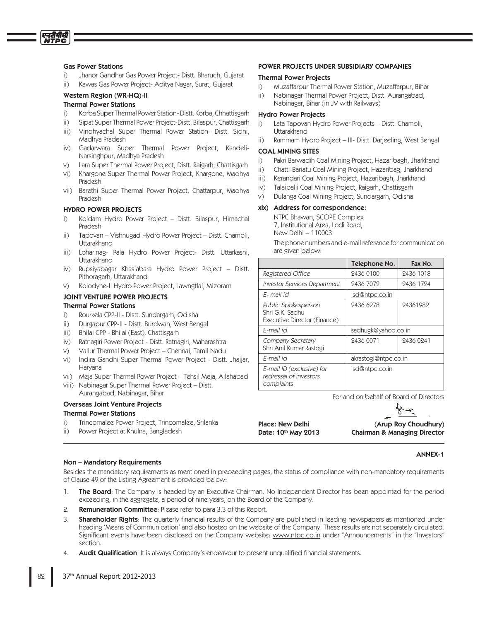## **Gas Power Stations**

एनदीपीसी

- $\overline{1}$ Jhanor Gandhar Gas Power Project-Distt. Bharuch, Gujarat
- $\overline{ii}$ Kawas Gas Power Project- Aditya Nagar, Surat, Gujarat

# Western Region (WR-HQ)-II

## **Thermal Power Stations**

- $i$ Korba Super Thermal Power Station-Distt. Korba, Chhattisgarh
- $\overline{ii}$ Sipat Super Thermal Power Project-Distt. Bilaspur, Chattisgarh
- Vindhyachal Super Thermal Power Station- Distt. Sidhi,  $iii)$ Madhya Pradesh
- iv) Gadarwara Super Thermal Power Project, Kandeli-Narsinghpur, Madhya Pradesh
- Lara Super Thermal Power Project, Distt. Raigarh, Chattisgarh
- Khargone Super Thermal Power Project, Khargone, Madhya  $Vi$ ) Pradesh
- $Vi<sub>i</sub>$ ) Barethi Super Thermal Power Project, Chattarpur, Madhya Pradesh

#### **HYDRO POWER PROJECTS**

- Koldam Hydro Power Project Distt. Bilaspur, Himachal i) Pradesh
- Tapovan Vishnugad Hydro Power Project Distt. Chamoli, Uttarakhand
- Loharinag- Pala Hydro Power Project- Distt. Uttarkashi, iii) Uttarakhand
- $\mathsf{iv})$ Rupsiyabagar Khasiabara Hydro Power Project – Distt. Pithoragarh, Uttarakhand
- Kolodyne-II Hydro Power Project, Lawngtlai, Mizoram V)

## JOINT VENTURE POWER PROJECTS

# **Thermal Power Stations**

- Rourkela CPP-II Distt. Sundargarh, Odisha  $\overline{1}$
- Durgapur CPP-II Distt. Burdwan, West Bengal  $\mathsf{ii}$
- Bhilai CPP Bhilai (East), Chattisgarh iii)
- $\mathsf{iv}$ Ratnagiri Power Project - Distt. Ratnagiri, Maharashtra
- Vallur Thermal Power Project Chennai, Tamil Nadu V)
- Indira Gandhi Super Thermal Power Project Distt. Jhajjar, vi) Haryana
- vii) Meja Super Thermal Power Project Tehsil Meja, Allahabad
- viii) Nabinagar Super Thermal Power Project Distt. Aurangabad, Nabinagar, Bihar

#### **Overseas Joint Venture Projects Thermal Power Stations**

- Trincomalee Power Project, Trincomalee, Srilanka  $\overline{1}$
- Power Project at Khulna, Bangladesh ii)

#### Non - Mandatory Requirements

Besides the mandatory requirements as mentioned in preceeding pages, the status of compliance with non-mandatory requirements of Clause 49 of the Listing Agreement is provided below:

Place: New Delhi

Date: 10th May 2013

- The Board: The Company is headed by an Executive Chairman. No Independent Director has been appointed for the period  $1_{-}$ exceeding, in the aggregate, a period of nine years, on the Board of the Company.
- Remuneration Committee: Please refer to para 3.3 of this Report.  $\mathcal{Q}_{\cdot}$
- 3. **Shareholder Rights**: The quarterly financial results of the Company are published in leading newspapers as mentioned under heading 'Means of Communication' and also hosted on the website of the Company. These results are not separately circulated. Significant events have been disclosed on the Company website: www.ntpc.co.in under "Announcements" in the "Investors" section.
- Audit Qualification: It is always Company's endeavour to present unqualified financial statements. 4.

## POWER PROJECTS UNDER SUBSIDIARY COMPANIES

#### **Thermal Power Projects**

- Muzaffarpur Thermal Power Station, Muzaffarpur, Bihar  $\overline{1}$
- Nabinagar Thermal Power Project, Distt. Aurangabad, ii) Nabinagar, Bihar (in JV with Railways)

### **Hydro Power Projects**

- Lata Tapovan Hydro Power Projects Distt. Chamoli,  $i)$ Uttarakhand
- $\overline{ii}$ Rammam Hydro Project - III- Distt. Darjeeling, West Bengal

## **COAL MINING SITES**

- $i)$ Pakri Barwadih Coal Mining Project, Hazaribagh, Jharkhand
- ii) Chatti-Bariatu Coal Mining Project, Hazaribag, Jharkhand
- iii) Kerandari Coal Mining Project, Hazaribagh, Jharkhand
- Talaipalli Coal Mining Project, Raigarh, Chattisgarh  $iv)$
- Dulanga Coal Mining Project, Sundargarh, Odisha V)

#### xix) Address for correspondence:

NTPC Bhawan, SCOPE Complex 7, Institutional Area, Lodi Road, New Delhi - 110003

The phone numbers and e-mail reference for communication are given below:

|                                                                        | Telephone No.        | Fax No.   |  |
|------------------------------------------------------------------------|----------------------|-----------|--|
| Registered Office                                                      | 2436 0100            | 2436 1018 |  |
| <b>Investor Services Department</b>                                    | 2436 7072            | 2436 1724 |  |
| E- mail id                                                             | isd@ntpc.co.in       |           |  |
| Public Spokesperson<br>Shri G.K. Sadhu<br>Executive Director (Finance) | 2436 6278            | 24361982  |  |
| E-mail id                                                              | sadhugk@yahoo.co.in  |           |  |
| Company Secretary<br>Shri Anil Kumar Rastogi                           | 2436 0071            | 2436 0241 |  |
| E-mail id                                                              | akrastogi@ntpc.co.in |           |  |
| E-mail ID (exclusive) for<br>redressal of investors<br>complaints      | isd@ntpc.co.in       |           |  |

For and on behalf of Board of Directors



(Arup Roy Choudhury) **Chairman & Managing Director** 

#### **ANNEX-1**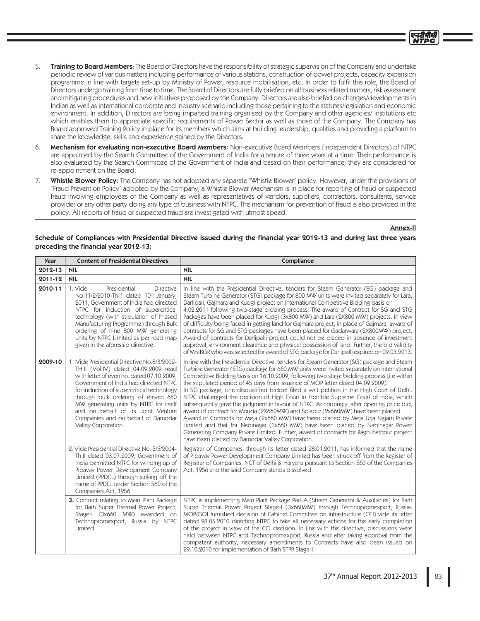- 5. Training to Board Members: The Board of Directors have the responsibility of strategic supervision of the Company and undertake periodic review of various matters including performance of various stations, construction of power projects, capacity expansion programme in line with targets set-up by Ministry of Power, resource mobilisation, etc. In order to fulfil this role, the Board of Directors undergo training from time to time. The Board of Directors are fully briefed on all business related matters, risk assessment and mitigating procedures and new initiatives proposed by the Company. Directors are also briefed on changes/developments in Indian as well as international corporate and industry scenario including those pertaining to the statutes/legislation and economic environment. In addition, Directors are being imparted training organised by the Company and other agencies/ institutions etc which enables them to appreciate specific requirements of Power Sector as well as those of the Company. The Company has Board approved Training Policy in place for its members which aims at building leadership, qualities and providing a platform to share the knowledge, skills and experience gained by the Directors.
- 6. Mechanism for evaluating non-executive Board Members: Non-executive Board Members (Independent Directors) of NTPC are appointed by the Search Committee of the Government of India for a tenure of three years at a time. Their performance is also evaluated by the Search Committee of the Government of India and based on their performance; they are considered for re-appointment on the Board.
- 7. Whistle Blower Policy: The Company has not adopted any separate "Whistle Blower" policy. However, under the provisions of "Fraud Prevention Policy" adopted by the Company, a Whistle Blower Mechanism is in place for reporting of fraud or suspected fraud involving employees of the Company as well as representatives of vendors, suppliers, contractors, consultants, service provider or any other party doing any type of business with NTPC. The mechanism for prevention of fraud is also provided in the policy. All reports of fraud or suspected fraud are investigated with utmost speed.

## Annex-II

## Schedule of Compliances with Presidential Directive issued during the financial year 2012-13 and during last three years preceding the financial year 2012-13:

| <b>Year</b> | <b>Content of Presidential Directives</b>                                                                                                                                                                                                                                                                                                                                                                  | Compliance                                                                                                                                                                                                                                                                                                                                                                                                                                                                                                                                                                                                                                                                                                                                                                                                                                                                                                                                                                                                                                                   |  |
|-------------|------------------------------------------------------------------------------------------------------------------------------------------------------------------------------------------------------------------------------------------------------------------------------------------------------------------------------------------------------------------------------------------------------------|--------------------------------------------------------------------------------------------------------------------------------------------------------------------------------------------------------------------------------------------------------------------------------------------------------------------------------------------------------------------------------------------------------------------------------------------------------------------------------------------------------------------------------------------------------------------------------------------------------------------------------------------------------------------------------------------------------------------------------------------------------------------------------------------------------------------------------------------------------------------------------------------------------------------------------------------------------------------------------------------------------------------------------------------------------------|--|
| 2012-13     | <b>NIL</b>                                                                                                                                                                                                                                                                                                                                                                                                 | <b>NIL</b>                                                                                                                                                                                                                                                                                                                                                                                                                                                                                                                                                                                                                                                                                                                                                                                                                                                                                                                                                                                                                                                   |  |
| 2011-12     | <b>NIL</b>                                                                                                                                                                                                                                                                                                                                                                                                 | <b>NIL</b>                                                                                                                                                                                                                                                                                                                                                                                                                                                                                                                                                                                                                                                                                                                                                                                                                                                                                                                                                                                                                                                   |  |
| 2010-11     | 1. Vide<br>Presidential<br>Directive<br>No.11/2/2010-Th-1 dated 10th January,<br>2011, Government of India had directed<br>NTPC for induction of supercritical<br>technology (with stipulation of Phased<br>Manufacturing Programme) through Bulk<br>ordering of nine 800 MW generating<br>units by NTPC Limited as per road map<br>given in the aforesaid directive.                                      | In line with the Presidential Directive, tenders for Steam Generator (SG) package and<br>Steam Turbine Generator (STG) package for 800 MW units were invited separately for Lara,<br>Darlipali, Gajmara and Kudgi project on International Competitive Bidding basis on<br>4.02.2011 following two-stage bidding process. The award of Contract for SG and STG<br>Packages have been placed for Kudgi (3x800 MW) and Lara (2X800 MW) projects. In view<br>of difficulty being faced in getting land for Gajmara project, in place of Gajmara, award of<br>contracts for SG and STG packages have been placed for Gadarwara (2X800MW) project.<br>Award of contracts for Darlipalli project could not be placed in absence of investment<br>approval, environment clearance and physical possession of land. Further, the bid validity<br>of M/s BGR who was selected for award of STG package for Darlipalli expired on 09.03.2013.                                                                                                                          |  |
| 2009-10     | 1. Vide Presidential Directive No.8/3/2002-<br>TH.II (Vol.IV) dated 04.09.2009 read<br>with letter of even no. dated 07.10.2009,<br>Government of India had directed NTPC<br>for induction of supercritical technology<br>through bulk ordering of eleven 660<br>MW generating units by NTPC for itself<br>and on behalf of its Joint Venture<br>Companies and on behalf of Damodar<br>Valley Corporation. | In line with the Presidential Directive, tenders for Steam Generator (SG) package and Steam<br>Turbine Generator (STG) package for 660 MW units were invited separately on International<br>Competitive Bidding basis on 16.10.2009, following two stage bidding process (i.e within<br>the stipulated period of 45 days from issuance of MOP letter dated 04.09.2009).<br>In SG package, one disqualified bidder filed a writ petition in the High Court of Delhi.<br>NTPC challenged the decision of High Court in Hon'ble Supreme Court of India, which<br>subsequently gave the judgment in favour of NTPC. Accordingly, after opening price bid,<br>award of contract for Mouda (2X660MW) and Solapur (2x660MW) have been placed.<br>Award of Contracts for Meja (2x660 MW) have been placed by Meja Urja Nigam Private<br>Limited and that for Nabinagar (3x660 MW) have been placed by Nabinagar Power<br>Generating Company Private Limited. Further, award of contracts for Raghunathpur project<br>have been placed by Damodar Valley Corporation. |  |
|             | 2. Vide Presidential Directive No. 5/5/2004-<br>Th.II dated 03.07.2009, Government of<br>India permitted NTPC for winding up of<br>Pipavav Power Development Company<br>Limited (PPDCL) through striking off the<br>name of PPDCL under Section 560 of the<br>Companies Act, 1956.                                                                                                                         | Registrar of Companies, through its letter dated 28.01.2011, has informed that the name<br>of Pipavav Power Development Company Limited has been struck off from the Register of<br>Registrar of Companies, NCT of Delhi & Haryana pursuant to Section 560 of the Companies<br>Act, 1956 and the said Company stands dissolved.                                                                                                                                                                                                                                                                                                                                                                                                                                                                                                                                                                                                                                                                                                                              |  |
|             | 3. Contract relating to Main Plant Package<br>for Barh Super Thermal Power Project,<br>Stage-I (3x660 MW) awarded on<br>Technopromexport, Russia by NTPC<br>Limited                                                                                                                                                                                                                                        | NTPC is implementing Main Plant Package Part-A (Steam Generator & Auxiliaries) for Barh<br>Super Thermal Power Project Stage-I (3x660MW) through Technopromexport, Russia.<br>MOP/GOI furnished decision of Cabinet Committee on Infrastructure (CCI) vide its letter<br>dated 28.05.2010 directing NTPC to take all necessary actions for the early completion<br>of the project in view of the CCI decision. In line with the directive, discussions were<br>held between NTPC and Technopromexport, Russia and after taking approval from the<br>competent authority, necessary amendments to Contracts have also been issued on<br>29.10.2010 for implementation of Barh STPP Stage-I.                                                                                                                                                                                                                                                                                                                                                                   |  |